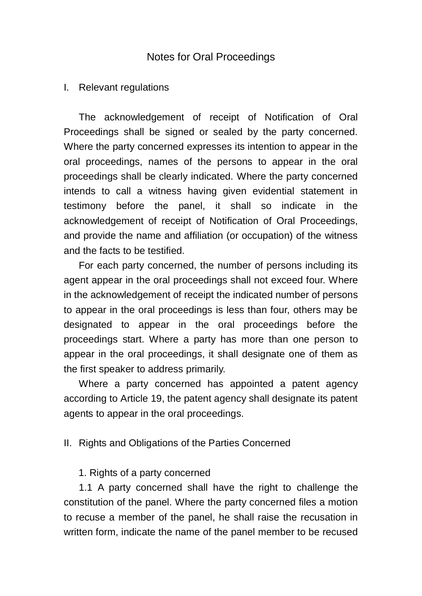## Notes for Oral Proceedings

## I. Relevant regulations

The acknowledgement of receipt of Notification of Oral Proceedings shall be signed or sealed by the party concerned. Where the party concerned expresses its intention to appear in the oral proceedings, names of the persons to appear in the oral proceedings shall be clearly indicated. Where the party concerned intends to call a witness having given evidential statement in testimony before the panel, it shall so indicate in the acknowledgement of receipt of Notification of Oral Proceedings, and provide the name and affiliation (or occupation) of the witness and the facts to be testified.

For each party concerned, the number of persons including its agent appear in the oral proceedings shall not exceed four. Where in the acknowledgement of receipt the indicated number of persons to appear in the oral proceedings is less than four, others may be designated to appear in the oral proceedings before the proceedings start. Where a party has more than one person to appear in the oral proceedings, it shall designate one of them as the first speaker to address primarily.

Where a party concerned has appointed a patent agency according to Article 19, the patent agency shall designate its patent agents to appear in the oral proceedings.

## II. Rights and Obligations of the Parties Concerned

## 1. Rights of a party concerned

1.1 A party concerned shall have the right to challenge the constitution of the panel. Where the party concerned files a motion to recuse a member of the panel, he shall raise the recusation in written form, indicate the name of the panel member to be recused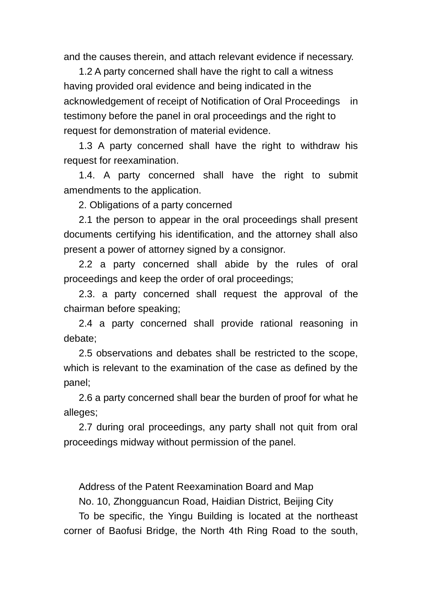and the causes therein, and attach relevant evidence if necessary.

1.2 A party concerned shall have the right to call a witness having provided oral evidence and being indicated in the acknowledgement of receipt of Notification of Oral Proceedings in testimony before the panel in oral proceedings and the right to request for demonstration of material evidence.

1.3 A party concerned shall have the right to withdraw his request for reexamination.

1.4. A party concerned shall have the right to submit amendments to the application.

2. Obligations of a party concerned

2.1 the person to appear in the oral proceedings shall present documents certifying his identification, and the attorney shall also present a power of attorney signed by a consignor.

2.2 a party concerned shall abide by the rules of oral proceedings and keep the order of oral proceedings;

2.3. a party concerned shall request the approval of the chairman before speaking;

2.4 a party concerned shall provide rational reasoning in debate;

2.5 observations and debates shall be restricted to the scope, which is relevant to the examination of the case as defined by the panel;

2.6 a party concerned shall bear the burden of proof for what he alleges;

2.7 during oral proceedings, any party shall not quit from oral proceedings midway without permission of the panel.

Address of the Patent Reexamination Board and Map

No. 10, Zhongguancun Road, Haidian District, Beijing City

To be specific, the Yingu Building is located at the northeast corner of Baofusi Bridge, the North 4th Ring Road to the south,